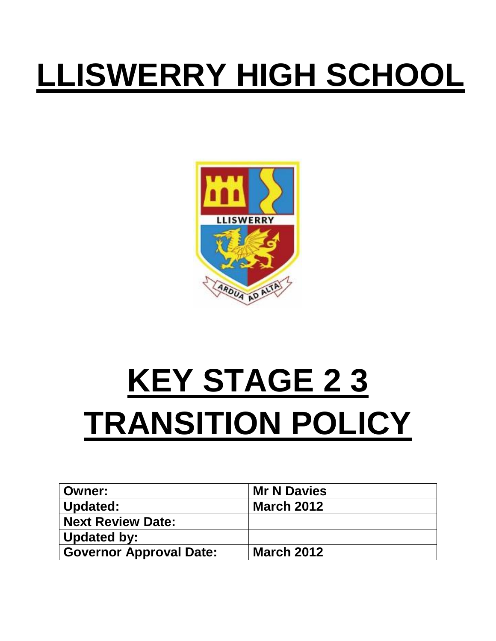# **LLISWERRY HIGH SCHOOL**



# **KEY STAGE 2 3 TRANSITION POLICY**

| <b>Owner:</b>                  | <b>Mr N Davies</b> |
|--------------------------------|--------------------|
| Updated:                       | <b>March 2012</b>  |
| <b>Next Review Date:</b>       |                    |
| Updated by:                    |                    |
| <b>Governor Approval Date:</b> | <b>March 2012</b>  |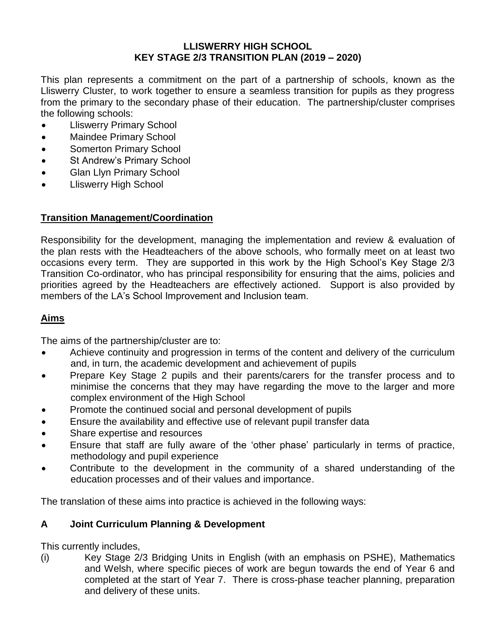#### **LLISWERRY HIGH SCHOOL KEY STAGE 2/3 TRANSITION PLAN (2019 – 2020)**

This plan represents a commitment on the part of a partnership of schools, known as the Lliswerry Cluster, to work together to ensure a seamless transition for pupils as they progress from the primary to the secondary phase of their education. The partnership/cluster comprises the following schools:

- **•** Lliswerry Primary School
- Maindee Primary School
- Somerton Primary School
- St Andrew's Primary School
- Glan Llyn Primary School
- Lliswerry High School

#### **Transition Management/Coordination**

Responsibility for the development, managing the implementation and review & evaluation of the plan rests with the Headteachers of the above schools, who formally meet on at least two occasions every term. They are supported in this work by the High School's Key Stage 2/3 Transition Co-ordinator, who has principal responsibility for ensuring that the aims, policies and priorities agreed by the Headteachers are effectively actioned. Support is also provided by members of the LA's School Improvement and Inclusion team.

### **Aims**

The aims of the partnership/cluster are to:

- Achieve continuity and progression in terms of the content and delivery of the curriculum and, in turn, the academic development and achievement of pupils
- Prepare Key Stage 2 pupils and their parents/carers for the transfer process and to minimise the concerns that they may have regarding the move to the larger and more complex environment of the High School
- Promote the continued social and personal development of pupils
- Ensure the availability and effective use of relevant pupil transfer data
- Share expertise and resources
- Ensure that staff are fully aware of the 'other phase' particularly in terms of practice, methodology and pupil experience
- Contribute to the development in the community of a shared understanding of the education processes and of their values and importance.

The translation of these aims into practice is achieved in the following ways:

# **A Joint Curriculum Planning & Development**

This currently includes,

(i) Key Stage 2/3 Bridging Units in English (with an emphasis on PSHE), Mathematics and Welsh, where specific pieces of work are begun towards the end of Year 6 and completed at the start of Year 7. There is cross-phase teacher planning, preparation and delivery of these units.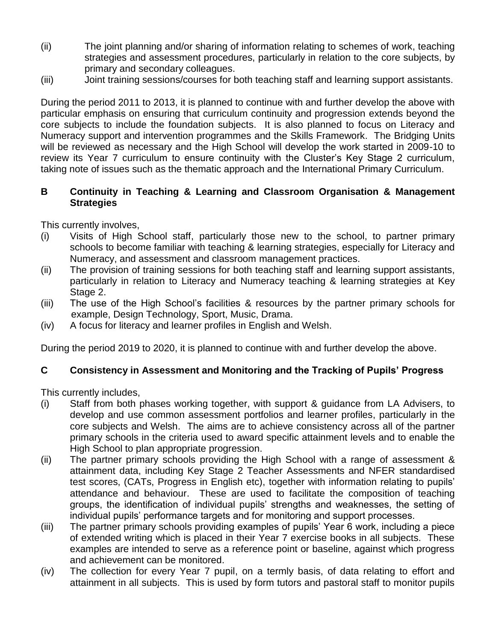- (ii) The joint planning and/or sharing of information relating to schemes of work, teaching strategies and assessment procedures, particularly in relation to the core subjects, by primary and secondary colleagues.
- (iii) Joint training sessions/courses for both teaching staff and learning support assistants.

During the period 2011 to 2013, it is planned to continue with and further develop the above with particular emphasis on ensuring that curriculum continuity and progression extends beyond the core subjects to include the foundation subjects. It is also planned to focus on Literacy and Numeracy support and intervention programmes and the Skills Framework. The Bridging Units will be reviewed as necessary and the High School will develop the work started in 2009-10 to review its Year 7 curriculum to ensure continuity with the Cluster's Key Stage 2 curriculum, taking note of issues such as the thematic approach and the International Primary Curriculum.

# **B Continuity in Teaching & Learning and Classroom Organisation & Management Strategies**

This currently involves,

- (i) Visits of High School staff, particularly those new to the school, to partner primary schools to become familiar with teaching & learning strategies, especially for Literacy and Numeracy, and assessment and classroom management practices.
- (ii) The provision of training sessions for both teaching staff and learning support assistants, particularly in relation to Literacy and Numeracy teaching & learning strategies at Key Stage 2.
- (iii) The use of the High School's facilities & resources by the partner primary schools for example, Design Technology, Sport, Music, Drama.
- (iv) A focus for literacy and learner profiles in English and Welsh.

During the period 2019 to 2020, it is planned to continue with and further develop the above.

# **C Consistency in Assessment and Monitoring and the Tracking of Pupils' Progress**

This currently includes,

- (i) Staff from both phases working together, with support & guidance from LA Advisers, to develop and use common assessment portfolios and learner profiles, particularly in the core subjects and Welsh. The aims are to achieve consistency across all of the partner primary schools in the criteria used to award specific attainment levels and to enable the High School to plan appropriate progression.
- (ii) The partner primary schools providing the High School with a range of assessment & attainment data, including Key Stage 2 Teacher Assessments and NFER standardised test scores, (CATs, Progress in English etc), together with information relating to pupils' attendance and behaviour. These are used to facilitate the composition of teaching groups, the identification of individual pupils' strengths and weaknesses, the setting of individual pupils' performance targets and for monitoring and support processes.
- (iii) The partner primary schools providing examples of pupils' Year 6 work, including a piece of extended writing which is placed in their Year 7 exercise books in all subjects. These examples are intended to serve as a reference point or baseline, against which progress and achievement can be monitored.
- (iv) The collection for every Year 7 pupil, on a termly basis, of data relating to effort and attainment in all subjects. This is used by form tutors and pastoral staff to monitor pupils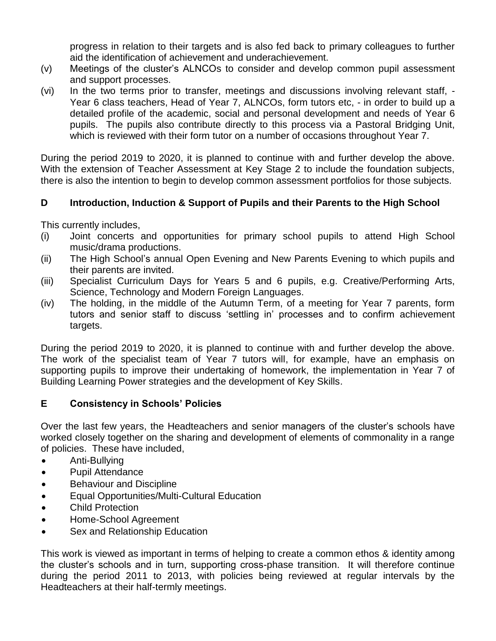progress in relation to their targets and is also fed back to primary colleagues to further aid the identification of achievement and underachievement.

- (v) Meetings of the cluster's ALNCOs to consider and develop common pupil assessment and support processes.
- (vi) In the two terms prior to transfer, meetings and discussions involving relevant staff, Year 6 class teachers, Head of Year 7, ALNCOs, form tutors etc, - in order to build up a detailed profile of the academic, social and personal development and needs of Year 6 pupils. The pupils also contribute directly to this process via a Pastoral Bridging Unit, which is reviewed with their form tutor on a number of occasions throughout Year 7.

During the period 2019 to 2020, it is planned to continue with and further develop the above. With the extension of Teacher Assessment at Key Stage 2 to include the foundation subjects, there is also the intention to begin to develop common assessment portfolios for those subjects.

# **D Introduction, Induction & Support of Pupils and their Parents to the High School**

This currently includes,

- (i) Joint concerts and opportunities for primary school pupils to attend High School music/drama productions.
- (ii) The High School's annual Open Evening and New Parents Evening to which pupils and their parents are invited.
- (iii) Specialist Curriculum Days for Years 5 and 6 pupils, e.g. Creative/Performing Arts, Science, Technology and Modern Foreign Languages.
- (iv) The holding, in the middle of the Autumn Term, of a meeting for Year 7 parents, form tutors and senior staff to discuss 'settling in' processes and to confirm achievement targets.

During the period 2019 to 2020, it is planned to continue with and further develop the above. The work of the specialist team of Year 7 tutors will, for example, have an emphasis on supporting pupils to improve their undertaking of homework, the implementation in Year 7 of Building Learning Power strategies and the development of Key Skills.

# **E Consistency in Schools' Policies**

Over the last few years, the Headteachers and senior managers of the cluster's schools have worked closely together on the sharing and development of elements of commonality in a range of policies. These have included,

- Anti-Bullying
- Pupil Attendance
- Behaviour and Discipline
- Equal Opportunities/Multi-Cultural Education
- Child Protection
- Home-School Agreement
- Sex and Relationship Education

This work is viewed as important in terms of helping to create a common ethos & identity among the cluster's schools and in turn, supporting cross-phase transition. It will therefore continue during the period 2011 to 2013, with policies being reviewed at regular intervals by the Headteachers at their half-termly meetings.